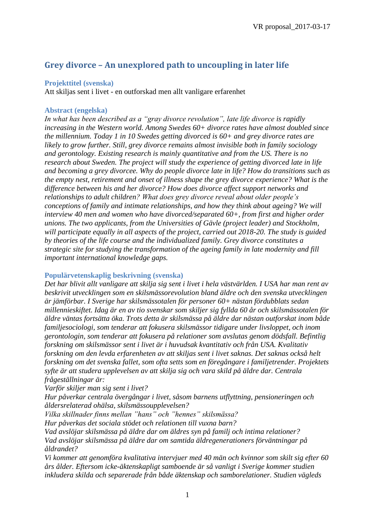# **Grey divorce – An unexplored path to uncoupling in later life**

### **Projekttitel (svenska)**

Att skiljas sent i livet - en outforskad men allt vanligare erfarenhet

### **Abstract (engelska)**

*In what has been described as a "gray divorce revolution", late life divorce is rapidly increasing in the Western world. Among Swedes 60+ divorce rates have almost doubled since the millennium. Today 1 in 10 Swedes getting divorced is 60+ and grey divorce rates are likely to grow further. Still, grey divorce remains almost invisible both in family sociology and gerontology. Existing research is mainly quantitative and from the US. There is no research about Sweden. The project will study the experience of getting divorced late in life and becoming a grey divorcee. Why do people divorce late in life? How do transitions such as the empty nest, retirement and onset of illness shape the grey divorce experience? What is the difference between his and her divorce? How does divorce affect support networks and relationships to adult children? What does grey divorce reveal about older people's conceptions of family and intimate relationships, and how they think about ageing? We will interview 40 men and women who have divorced/separated 60+, from first and higher order unions. The two applicants, from the Universities of Gävle (project leader) and Stockholm, will participate equally in all aspects of the project, carried out 2018-20. The study is guided by theories of the life course and the individualized family. Grey divorce constitutes a strategic site for studying the transformation of the ageing family in late modernity and fill important international knowledge gaps.*

### **Populärvetenskaplig beskrivning (svenska)**

*Det har blivit allt vanligare att skilja sig sent i livet i hela västvärlden. I USA har man rent av beskrivit utvecklingen som en skilsmässorevolution bland äldre och den svenska utvecklingen är jämförbar. I Sverige har skilsmässotalen för personer 60+ nästan fördubblats sedan millennieskiftet. Idag är en av tio svenskar som skiljer sig fyllda 60 år och skilsmässotalen för äldre väntas fortsätta öka. Trots detta är skilsmässa på äldre dar nästan outforskat inom både familjesociologi, som tenderar att fokusera skilsmässor tidigare under livsloppet, och inom gerontologin, som tenderar att fokusera på relationer som avslutas genom dödsfall. Befintlig forskning om skilsmässor sent i livet är i huvudsak kvantitativ och från USA. Kvalitativ forskning om den levda erfarenheten av att skiljas sent i livet saknas. Det saknas också helt forskning om det svenska fallet, som ofta setts som en föregångare i familjetrender. Projektets syfte är att studera upplevelsen av att skilja sig och vara skild på äldre dar. Centrala frågeställningar är:*

*Varför skiljer man sig sent i livet?*

*Hur påverkar centrala övergångar i livet, såsom barnens utflyttning, pensioneringen och åldersrelaterad ohälsa, skilsmässoupplevelsen?*

*Vilka skillnader finns mellan "hans" och "hennes" skilsmässa?*

*Hur påverkas det sociala stödet och relationen till vuxna barn?*

*Vad avslöjar skilsmässa på äldre dar om äldres syn på familj och intima relationer? Vad avslöjar skilsmässa på äldre dar om samtida äldregenerationers förväntningar på åldrandet?*

*Vi kommer att genomföra kvalitativa intervjuer med 40 män och kvinnor som skilt sig efter 60 års ålder. Eftersom icke-äktenskapligt samboende är så vanligt i Sverige kommer studien inkludera skilda och separerade från både äktenskap och samborelationer. Studien vägleds*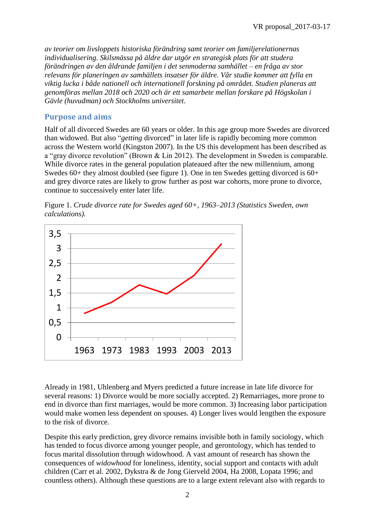*av teorier om livsloppets historiska förändring samt teorier om familjerelationernas individualisering. Skilsmässa på äldre dar utgör en strategisk plats för att studera förändringen av den åldrande familjen i det senmoderna samhället – en fråga av stor relevans för planeringen av samhällets insatser för äldre. Vår studie kommer att fylla en viktig lucka i både nationell och internationell forskning på området. Studien planeras att genomföras mellan 2018 och 2020 och är ett samarbete mellan forskare på Högskolan i Gävle (huvudman) och Stockholms universitet.*

## **Purpose and aims**

Half of all divorced Swedes are 60 years or older. In this age group more Swedes are divorced than widowed. But also "*getting* divorced" in later life is rapidly becoming more common across the Western world (Kingston 2007). In the US this development has been described as a "gray divorce revolution" (Brown & Lin 2012). The development in Sweden is comparable. While divorce rates in the general population plateaued after the new millennium, among Swedes 60+ they almost doubled (see figure 1). One in ten Swedes getting divorced is 60+ and grey divorce rates are likely to grow further as post war cohorts, more prone to divorce, continue to successively enter later life.



Figure 1. *Crude divorce rate for Swedes aged 60+, 1963–2013 (Statistics Sweden, own calculations).*

Already in 1981, Uhlenberg and Myers predicted a future increase in late life divorce for several reasons: 1) Divorce would be more socially accepted. 2) Remarriages, more prone to end in divorce than first marriages, would be more common. 3) Increasing labor participation would make women less dependent on spouses. 4) Longer lives would lengthen the exposure to the risk of divorce.

Despite this early prediction, grey divorce remains invisible both in family sociology, which has tended to focus divorce among younger people, and gerontology, which has tended to focus marital dissolution through widowhood. A vast amount of research has shown the consequences of *widowhood* for loneliness, identity, social support and contacts with adult children (Carr et al. 2002, Dykstra & de Jong Gierveld 2004, Ha 2008, Lopata 1996; and countless others). Although these questions are to a large extent relevant also with regards to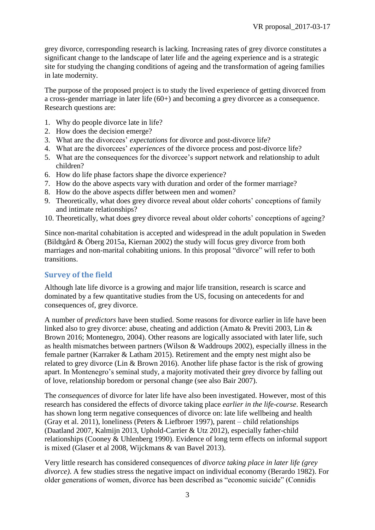grey divorce, corresponding research is lacking. Increasing rates of grey divorce constitutes a significant change to the landscape of later life and the ageing experience and is a strategic site for studying the changing conditions of ageing and the transformation of ageing families in late modernity.

The purpose of the proposed project is to study the lived experience of getting divorced from a cross-gender marriage in later life (60+) and becoming a grey divorcee as a consequence. Research questions are:

- 1. Why do people divorce late in life?
- 2. How does the decision emerge?
- 3. What are the divorcees' *expectations* for divorce and post-divorce life?
- 4. What are the divorcees' *experiences* of the divorce process and post-divorce life?
- 5. What are the consequences for the divorcee's support network and relationship to adult children?
- 6. How do life phase factors shape the divorce experience?
- 7. How do the above aspects vary with duration and order of the former marriage?
- 8. How do the above aspects differ between men and women?
- 9. Theoretically, what does grey divorce reveal about older cohorts' conceptions of family and intimate relationships?
- 10. Theoretically, what does grey divorce reveal about older cohorts' conceptions of ageing?

Since non-marital cohabitation is accepted and widespread in the adult population in Sweden (Bildtgård & Öberg 2015a, Kiernan 2002) the study will focus grey divorce from both marriages and non-marital cohabiting unions. In this proposal "divorce" will refer to both transitions.

### **Survey of the field**

Although late life divorce is a growing and major life transition, research is scarce and dominated by a few quantitative studies from the US, focusing on antecedents for and consequences of, grey divorce.

A number of *predictors* have been studied. Some reasons for divorce earlier in life have been linked also to grey divorce: abuse, cheating and addiction (Amato & Previti 2003, Lin & Brown 2016; Montenegro, 2004). Other reasons are logically associated with later life, such as health mismatches between partners (Wilson & Waddroups 2002), especially illness in the female partner (Karraker & Latham 2015). Retirement and the empty nest might also be related to grey divorce (Lin & Brown 2016). Another life phase factor is the risk of growing apart. In Montenegro's seminal study, a majority motivated their grey divorce by falling out of love, relationship boredom or personal change (see also Bair 2007).

The *consequences* of divorce for later life have also been investigated. However, most of this research has considered the effects of divorce taking place *earlier in the life-course*. Research has shown long term negative consequences of divorce on: late life wellbeing and health (Gray et al. 2011), loneliness (Peters  $&$  Liefbroer 1997), parent – child relationships (Daatland 2007, Kalmijn 2013, Uphold-Carrier & Utz 2012), especially father-child relationships (Cooney & Uhlenberg 1990). Evidence of long term effects on informal support is mixed (Glaser et al 2008, Wijckmans & van Bavel 2013).

Very little research has considered consequences of *divorce taking place in later life (grey divorce)*. A few studies stress the negative impact on individual economy (Berardo 1982). For older generations of women, divorce has been described as "economic suicide" (Connidis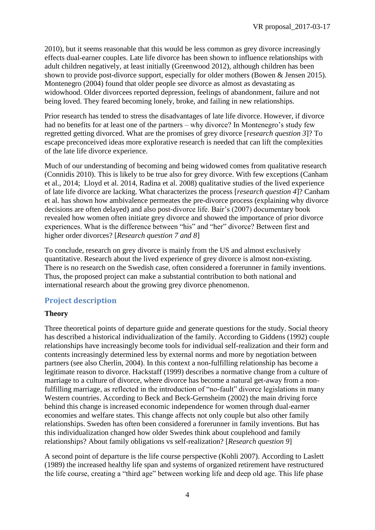2010), but it seems reasonable that this would be less common as grey divorce increasingly effects dual-earner couples. Late life divorce has been shown to influence relationships with adult children negatively, at least initially (Greenwood 2012), although children has been shown to provide post-divorce support, especially for older mothers (Bowen & Jensen 2015). Montenegro (2004) found that older people see divorce as almost as devastating as widowhood. Older divorcees reported depression, feelings of abandonment, failure and not being loved. They feared becoming lonely, broke, and failing in new relationships.

Prior research has tended to stress the disadvantages of late life divorce. However, if divorce had no benefits for at least one of the partners – why divorce? In Montenegro's study few regretted getting divorced. What are the promises of grey divorce [*research question 3*]? To escape preconceived ideas more explorative research is needed that can lift the complexities of the late life divorce experience.

Much of our understanding of becoming and being widowed comes from qualitative research (Connidis 2010). This is likely to be true also for grey divorce. With few exceptions (Canham et al., 2014; Lloyd et al. 2014, Radina et al. 2008) qualitative studies of the lived experience of late life divorce are lacking. What characterizes the process [*research question 4*]? Canham et al. has shown how ambivalence permeates the pre-divorce process (explaining why divorce decisions are often delayed) and also post-divorce life. Bair's (2007) documentary book revealed how women often initiate grey divorce and showed the importance of prior divorce experiences. What is the difference between "his" and "her" divorce? Between first and higher order divorces? [*Research question 7 and 8*]

To conclude, research on grey divorce is mainly from the US and almost exclusively quantitative. Research about the lived experience of grey divorce is almost non-existing. There is no research on the Swedish case, often considered a forerunner in family inventions. Thus, the proposed project can make a substantial contribution to both national and international research about the growing grey divorce phenomenon.

## **Project description**

## **Theory**

Three theoretical points of departure guide and generate questions for the study. Social theory has described a historical individualization of the family. According to Giddens (1992) couple relationships have increasingly become tools for individual self-realization and their form and contents increasingly determined less by external norms and more by negotiation between partners (see also Cherlin, 2004). In this context a non-fulfilling relationship has become a legitimate reason to divorce. Hackstaff (1999) describes a normative change from a culture of marriage to a culture of divorce, where divorce has become a natural get-away from a nonfulfilling marriage, as reflected in the introduction of "no-fault" divorce legislations in many Western countries. According to Beck and Beck-Gernsheim (2002) the main driving force behind this change is increased economic independence for women through dual-earner economies and welfare states. This change affects not only couple but also other family relationships. Sweden has often been considered a forerunner in family inventions. But has this individualization changed how older Swedes think about couplehood and family relationships? About family obligations vs self-realization? [*Research question 9*]

A second point of departure is the life course perspective (Kohli 2007). According to Laslett (1989) the increased healthy life span and systems of organized retirement have restructured the life course, creating a "third age" between working life and deep old age. This life phase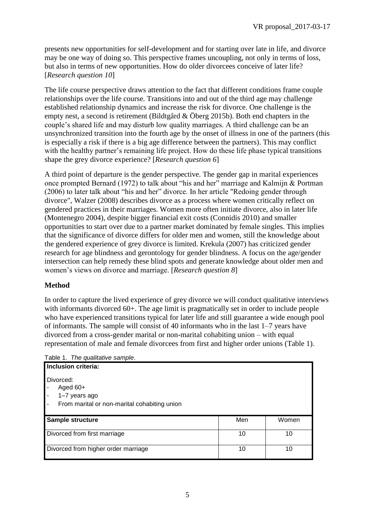presents new opportunities for self-development and for starting over late in life, and divorce may be one way of doing so. This perspective frames uncoupling, not only in terms of loss, but also in terms of new opportunities. How do older divorcees conceive of later life? [*Research question 10*]

The life course perspective draws attention to the fact that different conditions frame couple relationships over the life course. Transitions into and out of the third age may challenge established relationship dynamics and increase the risk for divorce. One challenge is the empty nest, a second is retirement (Bildtgård & Öberg 2015b). Both end chapters in the couple's shared life and may disturb low quality marriages. A third challenge can be an unsynchronized transition into the fourth age by the onset of illness in one of the partners (this is especially a risk if there is a big age difference between the partners). This may conflict with the healthy partner's remaining life project. How do these life phase typical transitions shape the grey divorce experience? [*Research question 6*]

A third point of departure is the gender perspective. The gender gap in marital experiences once prompted Bernard (1972) to talk about "his and her" marriage and Kalmijn & Portman (2006) to later talk about "his and her" divorce. In her article "Redoing gender through divorce", Walzer (2008) describes divorce as a process where women critically reflect on gendered practices in their marriages. Women more often initiate divorce, also in later life (Montenegro 2004), despite bigger financial exit costs (Connidis 2010) and smaller opportunities to start over due to a partner market dominated by female singles. This implies that the significance of divorce differs for older men and women, still the knowledge about the gendered experience of grey divorce is limited. Krekula (2007) has criticized gender research for age blindness and gerontology for gender blindness. A focus on the age/gender intersection can help remedy these blind spots and generate knowledge about older men and women's views on divorce and marriage. [*Research question 8*]

### **Method**

In order to capture the lived experience of grey divorce we will conduct qualitative interviews with informants divorced 60+. The age limit is pragmatically set in order to include people who have experienced transitions typical for later life and still guarantee a wide enough pool of informants. The sample will consist of 40 informants who in the last 1–7 years have divorced from a cross-gender marital or non-marital cohabiting union – with equal representation of male and female divorcees from first and higher order unions (Table 1).

Table 1. *The qualitative sample*.

| Inclusion criteria:                                                                      |     |       |
|------------------------------------------------------------------------------------------|-----|-------|
| Divorced:<br>Aged $60+$<br>1-7 years ago<br>From marital or non-marital cohabiting union |     |       |
| Sample structure                                                                         | Men | Women |
| Divorced from first marriage                                                             | 10  | 10    |
| Divorced from higher order marriage                                                      | 10  | 10    |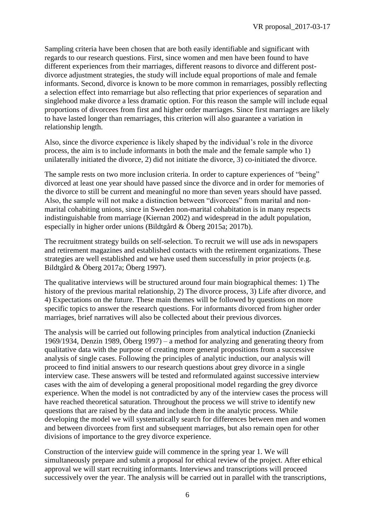Sampling criteria have been chosen that are both easily identifiable and significant with regards to our research questions. First, since women and men have been found to have different experiences from their marriages, different reasons to divorce and different postdivorce adjustment strategies, the study will include equal proportions of male and female informants. Second, divorce is known to be more common in remarriages, possibly reflecting a selection effect into remarriage but also reflecting that prior experiences of separation and singlehood make divorce a less dramatic option. For this reason the sample will include equal proportions of divorcees from first and higher order marriages. Since first marriages are likely to have lasted longer than remarriages, this criterion will also guarantee a variation in relationship length.

Also, since the divorce experience is likely shaped by the individual's role in the divorce process, the aim is to include informants in both the male and the female sample who 1) unilaterally initiated the divorce, 2) did not initiate the divorce, 3) co-initiated the divorce.

The sample rests on two more inclusion criteria. In order to capture experiences of "being" divorced at least one year should have passed since the divorce and in order for memories of the divorce to still be current and meaningful no more than seven years should have passed. Also, the sample will not make a distinction between "divorcees" from marital and nonmarital cohabiting unions, since in Sweden non-marital cohabitation is in many respects indistinguishable from marriage (Kiernan 2002) and widespread in the adult population, especially in higher order unions (Bildtgård & Öberg 2015a; 2017b).

The recruitment strategy builds on self-selection. To recruit we will use ads in newspapers and retirement magazines and established contacts with the retirement organizations. These strategies are well established and we have used them successfully in prior projects (e.g. Bildtgård & Öberg 2017a; Öberg 1997).

The qualitative interviews will be structured around four main biographical themes: 1) The history of the previous marital relationship, 2) The divorce process, 3) Life after divorce, and 4) Expectations on the future. These main themes will be followed by questions on more specific topics to answer the research questions. For informants divorced from higher order marriages, brief narratives will also be collected about their previous divorces.

The analysis will be carried out following principles from analytical induction (Znaniecki 1969/1934, Denzin 1989, Öberg 1997) – a method for analyzing and generating theory from qualitative data with the purpose of creating more general propositions from a successive analysis of single cases. Following the principles of analytic induction, our analysis will proceed to find initial answers to our research questions about grey divorce in a single interview case. These answers will be tested and reformulated against successive interview cases with the aim of developing a general propositional model regarding the grey divorce experience. When the model is not contradicted by any of the interview cases the process will have reached theoretical saturation. Throughout the process we will strive to identify new questions that are raised by the data and include them in the analytic process. While developing the model we will systematically search for differences between men and women and between divorcees from first and subsequent marriages, but also remain open for other divisions of importance to the grey divorce experience.

Construction of the interview guide will commence in the spring year 1. We will simultaneously prepare and submit a proposal for ethical review of the project. After ethical approval we will start recruiting informants. Interviews and transcriptions will proceed successively over the year. The analysis will be carried out in parallel with the transcriptions,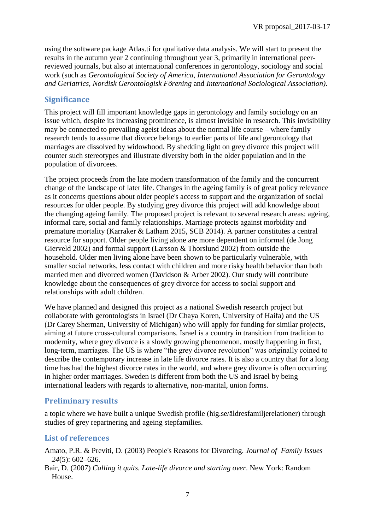using the software package Atlas.ti for qualitative data analysis. We will start to present the results in the autumn year 2 continuing throughout year 3, primarily in international peerreviewed journals, but also at international conferences in gerontology, sociology and social work (such as *Gerontological Society of America, International Association for Gerontology and Geriatrics, Nordisk Gerontologisk Förening* and *International Sociological Association)*.

## **Significance**

This project will fill important knowledge gaps in gerontology and family sociology on an issue which, despite its increasing prominence, is almost invisible in research. This invisibility may be connected to prevailing ageist ideas about the normal life course – where family research tends to assume that divorce belongs to earlier parts of life and gerontology that marriages are dissolved by widowhood. By shedding light on grey divorce this project will counter such stereotypes and illustrate diversity both in the older population and in the population of divorcees.

The project proceeds from the late modern transformation of the family and the concurrent change of the landscape of later life. Changes in the ageing family is of great policy relevance as it concerns questions about older people's access to support and the organization of social resources for older people. By studying grey divorce this project will add knowledge about the changing ageing family. The proposed project is relevant to several research areas: ageing, informal care, social and family relationships. Marriage protects against morbidity and premature mortality (Karraker & Latham 2015, SCB 2014). A partner constitutes a central resource for support. Older people living alone are more dependent on informal (de Jong Gierveld 2002) and formal support (Larsson & Thorslund 2002) from outside the household. Older men living alone have been shown to be particularly vulnerable, with smaller social networks, less contact with children and more risky health behavior than both married men and divorced women (Davidson & Arber 2002). Our study will contribute knowledge about the consequences of grey divorce for access to social support and relationships with adult children.

We have planned and designed this project as a national Swedish research project but collaborate with gerontologists in Israel (Dr Chaya Koren, University of Haifa) and the US (Dr Carey Sherman, University of Michigan) who will apply for funding for similar projects, aiming at future cross-cultural comparisons. Israel is a country in transition from tradition to modernity, where grey divorce is a slowly growing phenomenon, mostly happening in first, long-term, marriages. The US is where "the grey divorce revolution" was originally coined to describe the contemporary increase in late life divorce rates. It is also a country that for a long time has had the highest divorce rates in the world, and where grey divorce is often occurring in higher order marriages. Sweden is different from both the US and Israel by being international leaders with regards to alternative, non-marital, union forms.

## **Preliminary results**

a topic where we have built a unique Swedish profile (hig.se/äldresfamiljerelationer) through studies of grey repartnering and ageing stepfamilies.

## **List of references**

Amato, P.R. & Previti, D. (2003) People's Reasons for Divorcing. *Journal of Family Issues 24*(5): 602–626.

Bair, D. (2007) *Calling it quits. Late-life divorce and starting over*. New York: Random House.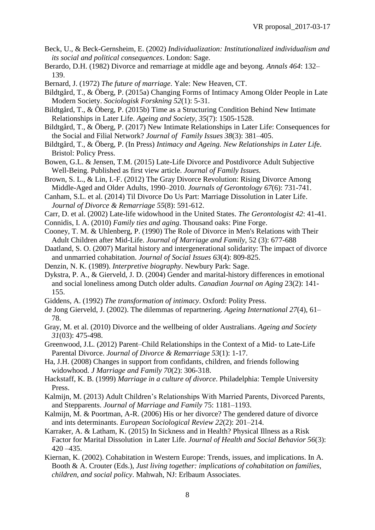- Beck, U., & Beck-Gernsheim, E. (2002) *Individualization: Institutionalized individualism and its social and political consequences*. London: Sage.
- Berardo, D.H. (1982) Divorce and remarriage at middle age and beyong. *Annals 464*: 132– 139.
- Bernard, J. (1972) *The future of marriage*. Yale: New Heaven, CT.
- Bildtgård, T., & Öberg, P. (2015a) Changing Forms of Intimacy Among Older People in Late Modern Society. *Sociologisk Forskning 52*(1): 5-31.
- Bildtgård, T., & Öberg, P. (2015b) Time as a Structuring Condition Behind New Intimate Relationships in Later Life. *Ageing and Society, 35*(7): 1505-1528.
- Bildtgård, T., & Öberg, P. (2017) New Intimate Relationships in Later Life: Consequences for the Social and Filial Network? *Journal of Family Issues 38*(3): 381–405.
- Bildtgård, T., & Öberg, P. (In Press) *Intimacy and Ageing. New Relationships in Later Lif*e. Bristol: Policy Press.
- Bowen, G.L. & Jensen, T.M. (2015) Late-Life Divorce and Postdivorce Adult Subjective Well-Being. Published as first view article. *Journal of Family Issues.*
- Brown, S. L., & Lin, I.-F. (2012) The Gray Divorce Revolution: Rising Divorce Among Middle-Aged and Older Adults, 1990–2010. *Journals of Gerontology 67*(6): 731-741.
- Canham, S.L. et al. (2014) Til Divorce Do Us Part: Marriage Dissolution in Later Life. *Journal of Divorce & Remarriage 55*(8): 591-612.
- Carr, D. et al. (2002) Late-life widowhood in the United States. *The Gerontologist 42*: 41-41.
- Connidis, I. A. (2010) *Family ties and aging*. Thousand oaks: Pine Forge.
- Cooney, T. M. & Uhlenberg, P. (1990) The Role of Divorce in Men's Relations with Their Adult Children after Mid-Life. *Journal of Marriage and Family*, 52 (3): 677-688
- Daatland, S. O. (2007) Marital history and intergenerational solidarity: The impact of divorce and unmarried cohabitation. *Journal of Social Issues 63*(4): 809-825.
- Denzin, N. K. (1989). *Interpretive biography*. Newbury Park: Sage.
- Dykstra, P. A., & Gierveld, J. D. (2004) Gender and marital-history differences in emotional and social loneliness among Dutch older adults. *Canadian Journal on Aging* 23(2): 141- 155.
- Giddens, A. (1992) *The transformation of intimacy*. Oxford: Polity Press.
- de Jong Gierveld, J. (2002). The dilemmas of repartnering. *Ageing International 27*(4), 61– 78.
- Gray, M. et al. (2010) Divorce and the wellbeing of older Australians. *Ageing and Society 31*(03): 475-498.
- Greenwood, J.L. (2012) Parent–Child Relationships in the Context of a Mid- to Late-Life Parental Divorce. *Journal of Divorce & Remarriage 53*(1): 1-17.
- Ha, J.H. (2008) Changes in support from confidants, children, and friends following widowhood. *J Marriage and Family 70*(2): 306-318.
- Hackstaff, K. B. (1999) *Marriage in a culture of divorce*. Philadelphia: Temple University Press.
- Kalmijn, M. (2013) Adult Children's Relationships With Married Parents, Divorced Parents, and Stepparents. *Journal of Marriage and Family* 75: 1181–1193.
- Kalmijn, M. & Poortman, A-R. (2006) His or her divorce? The gendered dature of divorce and ints determinants. *European Sociological Review 22*(2): 201–214.
- Karraker, A. & Latham, K. (2015) In Sickness and in Health? Physical Illness as a Risk Factor for Marital Dissolution in Later Life. *Journal of Health and Social Behavior 56*(3): 420 –435.
- Kiernan, K. (2002). Cohabitation in Western Europe: Trends, issues, and implications. In A. Booth & A. Crouter (Eds.), *Just living together: implications of cohabitation on families, children, and social policy*. Mahwah, NJ: Erlbaum Associates.